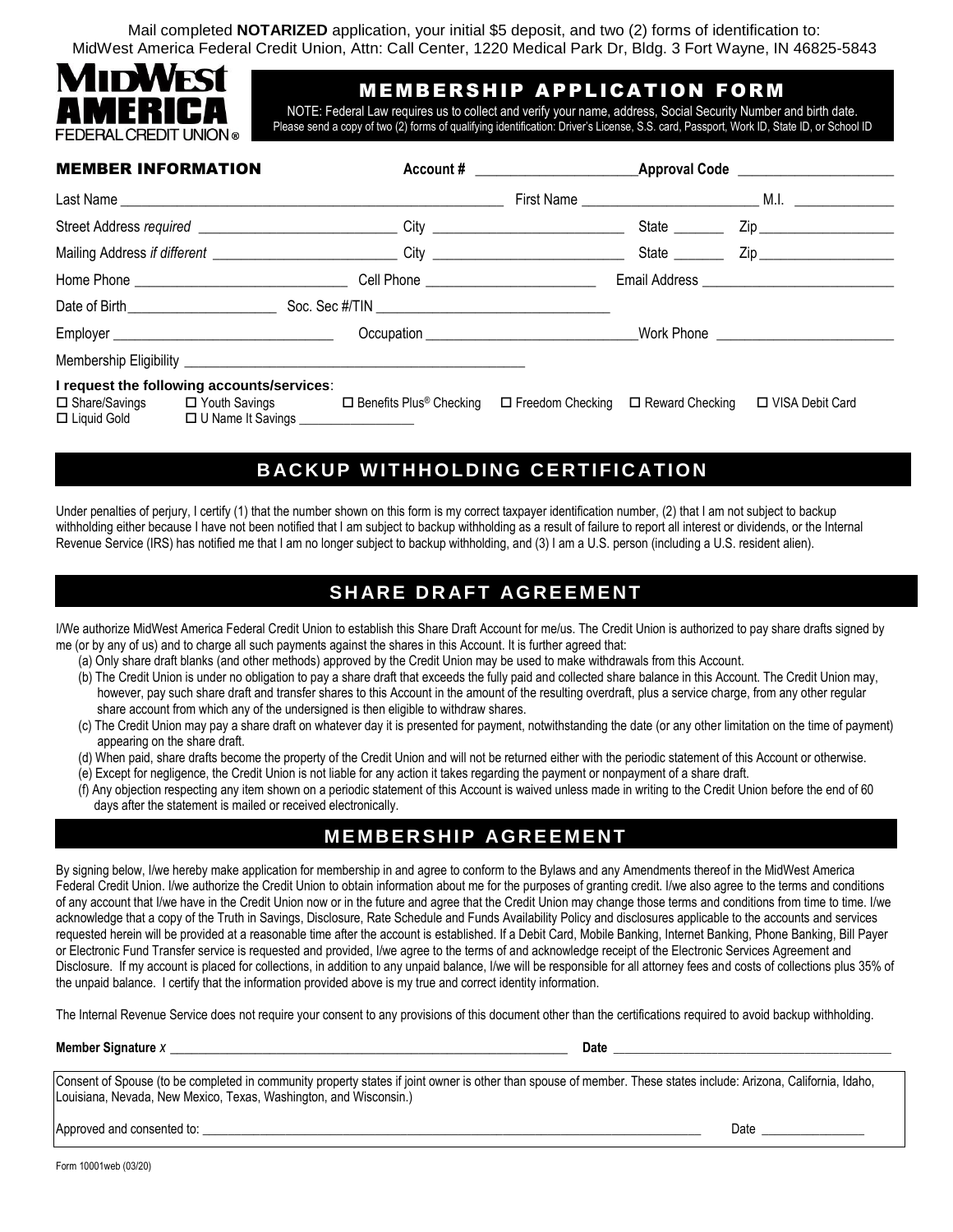Mail completed **NOTARIZED** application, your initial \$5 deposit, and two (2) forms of identification to: MidWest America Federal Credit Union, Attn: Call Center, 1220 Medical Park Dr, Bldg. 3 Fort Wayne, IN 46825-5843



## MEMBERSHIP APPLICATION FORM

NOTE: Federal Law requires us to collect and verify your name, address, Social Security Number and birth date. Please send a copy of two (2) forms of qualifying identification: Driver's License, S.S. card, Passport, Work ID, State ID, or School ID

| <b>MEMBER INFORMATION</b> |                                                                                                                 |                                                                                  |                                                |               |                      |
|---------------------------|-----------------------------------------------------------------------------------------------------------------|----------------------------------------------------------------------------------|------------------------------------------------|---------------|----------------------|
|                           |                                                                                                                 |                                                                                  |                                                |               |                      |
|                           |                                                                                                                 | Street Address required ________________________________City ___________________ |                                                | State _______ |                      |
|                           |                                                                                                                 |                                                                                  |                                                |               | State <u>Cip</u> Zip |
|                           |                                                                                                                 |                                                                                  |                                                |               |                      |
|                           |                                                                                                                 |                                                                                  |                                                |               |                      |
|                           |                                                                                                                 |                                                                                  |                                                |               |                      |
|                           |                                                                                                                 |                                                                                  |                                                |               |                      |
|                           | I request the following accounts/services:                                                                      |                                                                                  |                                                |               |                      |
|                           | □ Share/Savings □ Youth Savings □ Benefits Plus® Checking<br>□ Liquid Gold □ U Name It Savings ________________ |                                                                                  | $\Box$ Freedom Checking $\Box$ Reward Checking |               | □ VISA Debit Card    |

# **BACKUP WITHHOLDING CERTIFICATION**

Under penalties of perjury, I certify (1) that the number shown on this form is my correct taxpayer identification number, (2) that I am not subject to backup withholding either because I have not been notified that I am subject to backup withholding as a result of failure to report all interest or dividends, or the Internal Revenue Service (IRS) has notified me that I am no longer subject to backup withholding, and (3) I am a U.S. person (including a U.S. resident alien).

# **SHARE DRAFT AGREEMENT**

I/We authorize MidWest America Federal Credit Union to establish this Share Draft Account for me/us. The Credit Union is authorized to pay share drafts signed by me (or by any of us) and to charge all such payments against the shares in this Account. It is further agreed that:

- (a) Only share draft blanks (and other methods) approved by the Credit Union may be used to make withdrawals from this Account.
- (b) The Credit Union is under no obligation to pay a share draft that exceeds the fully paid and collected share balance in this Account. The Credit Union may, however, pay such share draft and transfer shares to this Account in the amount of the resulting overdraft, plus a service charge, from any other regular share account from which any of the undersigned is then eligible to withdraw shares.
- (c) The Credit Union may pay a share draft on whatever day it is presented for payment, notwithstanding the date (or any other limitation on the time of payment) appearing on the share draft.
- (d) When paid, share drafts become the property of the Credit Union and will not be returned either with the periodic statement of this Account or otherwise.
- (e) Except for negligence, the Credit Union is not liable for any action it takes regarding the payment or nonpayment of a share draft.
- (f) Any objection respecting any item shown on a periodic statement of this Account is waived unless made in writing to the Credit Union before the end of 60 days after the statement is mailed or received electronically.

## **MEMBERSHIP AGREEMENT**

By signing below, I/we hereby make application for membership in and agree to conform to the Bylaws and any Amendments thereof in the MidWest America Federal Credit Union. I/we authorize the Credit Union to obtain information about me for the purposes of granting credit. I/we also agree to the terms and conditions of any account that I/we have in the Credit Union now or in the future and agree that the Credit Union may change those terms and conditions from time to time. I/we acknowledge that a copy of the Truth in Savings, Disclosure, Rate Schedule and Funds Availability Policy and disclosures applicable to the accounts and services requested herein will be provided at a reasonable time after the account is established. If a Debit Card, Mobile Banking, Internet Banking, Phone Banking, Bill Payer or Electronic Fund Transfer service is requested and provided, I/we agree to the terms of and acknowledge receipt of the Electronic Services Agreement and Disclosure. If my account is placed for collections, in addition to any unpaid balance, I/we will be responsible for all attorney fees and costs of collections plus 35% of the unpaid balance. I certify that the information provided above is my true and correct identity information.

The Internal Revenue Service does not require your consent to any provisions of this document other than the certifications required to avoid backup withholding.

#### **Member Signature** *x* \_\_\_\_\_\_\_\_\_\_\_\_\_\_\_\_\_\_\_\_\_\_\_\_\_\_\_\_\_\_\_\_\_\_\_\_\_\_\_\_\_\_\_\_\_\_\_\_\_\_\_\_\_\_\_\_ **Date** \_\_\_\_\_\_\_\_\_\_\_\_\_\_\_\_\_\_\_\_\_\_\_\_\_\_\_\_\_\_\_\_\_\_\_\_\_\_\_\_\_\_\_\_\_\_\_\_

Consent of Spouse (to be completed in community property states if joint owner is other than spouse of member. These states include: Arizona, California, Idaho, Louisiana, Nevada, New Mexico, Texas, Washington, and Wisconsin.)

Approved and consented to: \_\_\_\_\_\_\_\_\_\_\_\_\_\_\_\_\_\_\_\_\_\_\_\_\_\_\_\_\_\_\_\_\_\_\_\_\_\_\_\_\_\_\_\_\_\_\_\_\_\_\_\_\_\_\_\_\_\_\_\_\_\_\_\_\_\_\_\_\_\_\_\_\_\_\_\_\_\_ Date \_\_\_\_\_\_\_\_\_\_\_\_\_\_\_\_